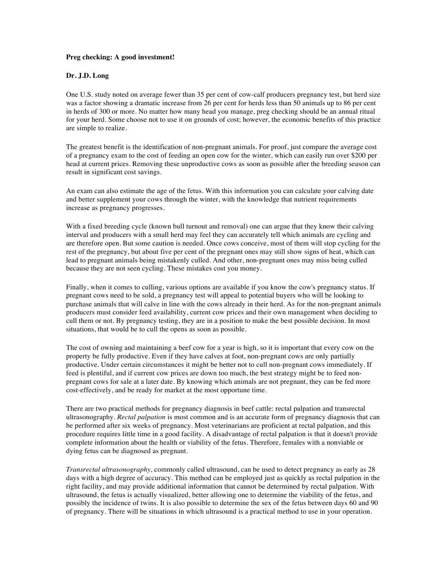## **Preg checking: A good investment!**

## **Dr. J.D. Long**

One U.S. study noted on average fewer than 35 per cent of cow-calf producers pregnancy test, but herd size was a factor showing a dramatic increase from 26 per cent for herds less than 50 animals up to 86 per cent in herds of 300 or more. No matter how many head you manage, preg checking should be an annual ritual for your herd. Some choose not to use it on grounds of cost; however, the economic benefits of this practice are simple to realize.

The greatest benefit is the identification of non-pregnant animals. For proof, just compare the average cost of a pregnancy exam to the cost of feeding an open cow for the winter, which can easily run over \$200 per head at current prices. Removing these unproductive cows as soon as possible after the breeding season can result in significant cost savings.

An exam can also estimate the age of the fetus. With this information you can calculate your calving date and better supplement your cows through the winter, with the knowledge that nutrient requirements increase as pregnancy progresses.

With a fixed breeding cycle (known bull turnout and removal) one can argue that they know their calving interval and producers with a small herd may feel they can accurately tell which animals are cycling and are therefore open. But some caution is needed. Once cows conceive, most of them will stop cycling for the rest of the pregnancy, but about five per cent of the pregnant ones may still show signs of heat, which can lead to pregnant animals being mistakenly culled. And other, non-pregnant ones may miss being culled because they are not seen cycling. These mistakes cost you money.

Finally, when it comes to culling, various options are available if you know the cow's pregnancy status. If pregnant cows need to be sold, a pregnancy test will appeal to potential buyers who will be looking to purchase animals that will calve in line with the cows already in their herd. As for the non-pregnant animals producers must consider feed availability, current cow prices and their own management when deciding to cull them or not. By pregnancy testing, they are in a position to make the best possible decision. In most situations, that would be to cull the opens as soon as possible.

The cost of owning and maintaining a beef cow for a year is high, so it is important that every cow on the property be fully productive. Even if they have calves at foot, non-pregnant cows are only partially productive. Under certain circumstances it might be better not to cull non-pregnant cows immediately. If feed is plentiful, and if current cow prices are down too much, the best strategy might be to feed nonpregnant cows for sale at a later date. By knowing which animals are not pregnant, they can be fed more cost-effectively, and be ready for market at the most opportune time.

There are two practical methods for pregnancy diagnosis in beef cattle: rectal palpation and transrectal ultrasonography. *Rectal palpation* is most common and is an accurate form of pregnancy diagnosis that can be performed after six weeks of pregnancy. Most veterinarians are proficient at rectal palpation, and this procedure requires little time in a good facility. A disadvantage of rectal palpation is that it doesn't provide complete information about the health or viability of the fetus. Therefore, females with a nonviable or dying fetus can be diagnosed as pregnant.

*Transrectal ultrasonography,* commonly called ultrasound, can be used to detect pregnancy as early as 28 days with a high degree of accuracy. This method can be employed just as quickly as rectal palpation in the right facility, and may provide additional information that cannot be determined by rectal palpation. With ultrasound, the fetus is actually visualized, better allowing one to determine the viability of the fetus, and possibly the incidence of twins. It is also possible to determine the sex of the fetus between days 60 and 90 of pregnancy. There will be situations in which ultrasound is a practical method to use in your operation.